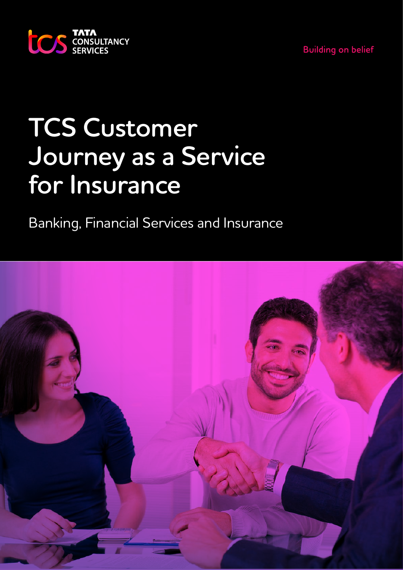**Building on belief** 



# **TCS Customer Journey as a Service for Insurance**

Banking, Financial Services and Insurance

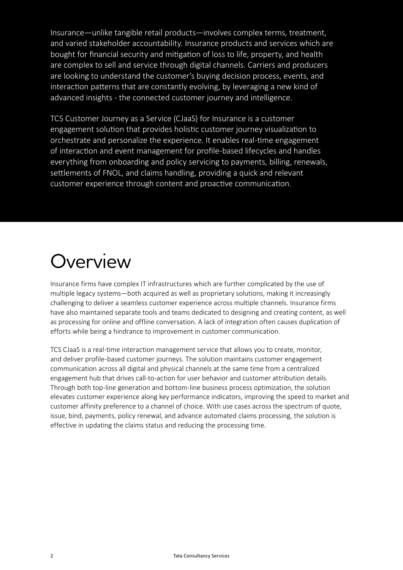Insurance—unlike tangible retail products—involves complex terms, treatment, and varied stakeholder accountability. Insurance products and services which are bought for financial security and mitigation of loss to life, property, and health are complex to sell and service through digital channels. Carriers and producers are looking to understand the customer's buying decision process, events, and interaction patterns that are constantly evolving, by leveraging a new kind of advanced insights - the connected customer journey and intelligence.

TCS Customer Journey as a Service (CJaaS) for Insurance is a customer engagement solution that provides holistic customer journey visualization to orchestrate and personalize the experience. It enables real-time engagement of interaction and event management for profile-based lifecycles and handles everything from onboarding and policy servicing to payments, billing, renewals, settlements of FNOL, and claims handling, providing a quick and relevant customer experience through content and proactive communication.

## **Overview**

Insurance firms have complex IT infrastructures which are further complicated by the use of multiple legacy systems—both acquired as well as proprietary solutions, making it increasingly challenging to deliver a seamless customer experience across multiple channels. Insurance firms have also maintained separate tools and teams dedicated to designing and creating content, as well as processing for online and offline conversation. A lack of integration often causes duplication of efforts while being a hindrance to improvement in customer communication.

TCS CJaaS is a real-time interaction management service that allows you to create, monitor, and deliver profile-based customer journeys. The solution maintains customer engagement communication across all digital and physical channels at the same time from a centralized engagement hub that drives call-to-action for user behavior and customer attribution details. Through both top-line generation and bottom-line business process optimization, the solution elevates customer experience along key performance indicators, improving the speed to market and customer affinity preference to a channel of choice. With use cases across the spectrum of quote, issue, bind, payments, policy renewal, and advance automated claims processing, the solution is effective in updating the claims status and reducing the processing time.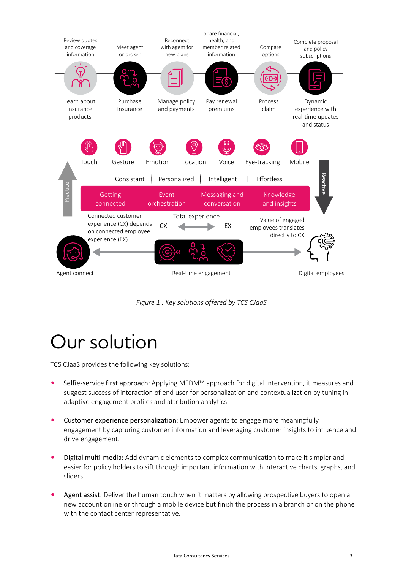

*Figure 1 : Key solutions offered by TCS CJaaS*

# Our solution

TCS CJaaS provides the following key solutions:

- Selfie-service first approach: Applying MFDM™ approach for digital intervention, it measures and suggest success of interaction of end user for personalization and contextualization by tuning in adaptive engagement profiles and attribution analytics.
- Customer experience personalization: Empower agents to engage more meaningfully engagement by capturing customer information and leveraging customer insights to influence and drive engagement.
- Digital multi-media: Add dynamic elements to complex communication to make it simpler and easier for policy holders to sift through important information with interactive charts, graphs, and sliders.
- Agent assist: Deliver the human touch when it matters by allowing prospective buyers to open a new account online or through a mobile device but finish the process in a branch or on the phone with the contact center representative.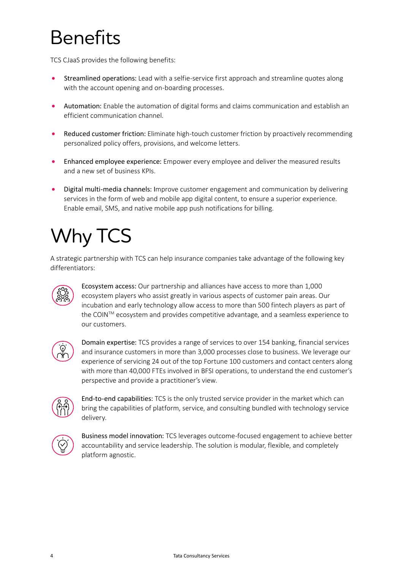# **Benefits**

TCS CJaaS provides the following benefits:

- Streamlined operations: Lead with a selfie-service first approach and streamline quotes along with the account opening and on-boarding processes.
- Automation: Enable the automation of digital forms and claims communication and establish an efficient communication channel.
- Reduced customer friction: Eliminate high-touch customer friction by proactively recommending personalized policy offers, provisions, and welcome letters.
- Enhanced employee experience: Empower every employee and deliver the measured results and a new set of business KPIs.
- Digital multi-media channels: Improve customer engagement and communication by delivering services in the form of web and mobile app digital content, to ensure a superior experience. Enable email, SMS, and native mobile app push notifications for billing.

# Why TCS

A strategic partnership with TCS can help insurance companies take advantage of the following key differentiators:



Ecosystem access: Our partnership and alliances have access to more than 1,000 ecosystem players who assist greatly in various aspects of customer pain areas. Our incubation and early technology allow access to more than 500 fintech players as part of the COIN™ ecosystem and provides competitive advantage, and a seamless experience to our customers.



Domain expertise: TCS provides a range of services to over 154 banking, financial services and insurance customers in more than 3,000 processes close to business. We leverage our experience of servicing 24 out of the top Fortune 100 customers and contact centers along with more than 40,000 FTEs involved in BFSI operations, to understand the end customer's perspective and provide a practitioner's view.

End-to-end capabilities: TCS is the only trusted service provider in the market which can bring the capabilities of platform, service, and consulting bundled with technology service delivery.



Business model innovation: TCS leverages outcome-focused engagement to achieve better accountability and service leadership. The solution is modular, flexible, and completely platform agnostic.